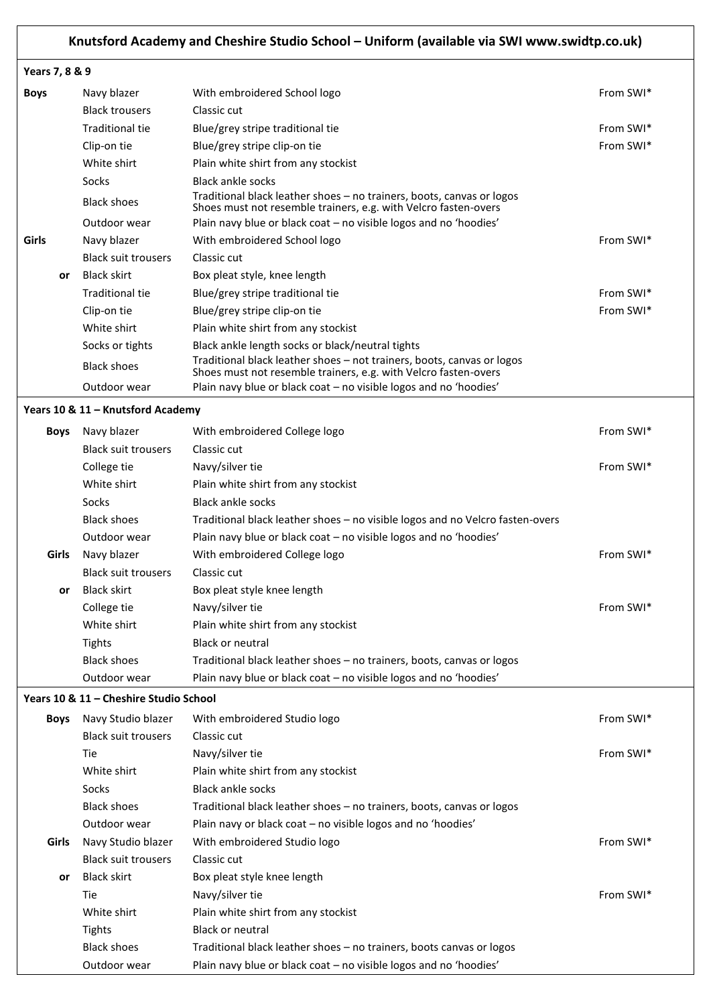# **Knutsford Academy and Cheshire Studio School – Uniform (available via SWI www.swidtp.co.uk)**

### **Years 7, 8 & 9**

| <b>Boys</b> |           | Navy blazer                | With embroidered School logo                                                                                                              | From SWI* |
|-------------|-----------|----------------------------|-------------------------------------------------------------------------------------------------------------------------------------------|-----------|
|             |           | <b>Black trousers</b>      | Classic cut                                                                                                                               |           |
|             |           | <b>Traditional tie</b>     | Blue/grey stripe traditional tie                                                                                                          | From SWI* |
|             |           | Clip-on tie                | Blue/grey stripe clip-on tie                                                                                                              | From SWI* |
|             |           | White shirt                | Plain white shirt from any stockist                                                                                                       |           |
|             |           | Socks                      | <b>Black ankle socks</b>                                                                                                                  |           |
|             |           | <b>Black shoes</b>         | Traditional black leather shoes – no trainers, boots, canvas or logos<br>Shoes must not resemble trainers, e.g. with Velcro fasten-overs  |           |
|             |           | Outdoor wear               | Plain navy blue or black coat – no visible logos and no 'hoodies'                                                                         |           |
| Girls       |           | Navy blazer                | With embroidered School logo                                                                                                              | From SWI* |
|             |           | <b>Black suit trousers</b> | Classic cut                                                                                                                               |           |
|             | <b>or</b> | <b>Black skirt</b>         | Box pleat style, knee length                                                                                                              |           |
|             |           | Traditional tie            | Blue/grey stripe traditional tie                                                                                                          | From SWI* |
|             |           | Clip-on tie                | Blue/grey stripe clip-on tie                                                                                                              | From SWI* |
|             |           | White shirt                | Plain white shirt from any stockist                                                                                                       |           |
|             |           | Socks or tights            | Black ankle length socks or black/neutral tights                                                                                          |           |
|             |           | <b>Black shoes</b>         | Traditional black leather shoes - not trainers, boots, canvas or logos<br>Shoes must not resemble trainers, e.g. with Velcro fasten-overs |           |
|             |           | Outdoor wear               | Plain navy blue or black coat – no visible logos and no 'hoodies'                                                                         |           |

#### **Years 10 & 11 – Knutsford Academy**

| <b>Boys</b> | Navy blazer                | With embroidered College logo                                                 | From SWI* |
|-------------|----------------------------|-------------------------------------------------------------------------------|-----------|
|             | <b>Black suit trousers</b> | Classic cut                                                                   |           |
|             | College tie                | Navy/silver tie                                                               | From SWI* |
|             | White shirt                | Plain white shirt from any stockist                                           |           |
|             | Socks                      | <b>Black ankle socks</b>                                                      |           |
|             | <b>Black shoes</b>         | Traditional black leather shoes – no visible logos and no Velcro fasten-overs |           |
|             | Outdoor wear               | Plain navy blue or black coat – no visible logos and no 'hoodies'             |           |
| Girls       | Navy blazer                | With embroidered College logo                                                 | From SWI* |
|             | <b>Black suit trousers</b> | Classic cut                                                                   |           |
| <b>or</b>   | Black skirt                | Box pleat style knee length                                                   |           |
|             | College tie                | Navy/silver tie                                                               | From SWI* |
|             | White shirt                | Plain white shirt from any stockist                                           |           |
|             | Tights                     | <b>Black or neutral</b>                                                       |           |
|             | <b>Black shoes</b>         | Traditional black leather shoes – no trainers, boots, canvas or logos         |           |
|             | Outdoor wear               | Plain navy blue or black coat - no visible logos and no 'hoodies'             |           |

## **Years 10 & 11 – Cheshire Studio School**

| <b>Boys</b> | Navy Studio blazer         | With embroidered Studio logo                                          | From SWI* |
|-------------|----------------------------|-----------------------------------------------------------------------|-----------|
|             | <b>Black suit trousers</b> | Classic cut                                                           |           |
|             | Tie                        | Navy/silver tie                                                       | From SWI* |
|             | White shirt                | Plain white shirt from any stockist                                   |           |
|             | Socks                      | <b>Black ankle socks</b>                                              |           |
|             | <b>Black shoes</b>         | Traditional black leather shoes – no trainers, boots, canvas or logos |           |
|             | Outdoor wear               | Plain navy or black coat – no visible logos and no 'hoodies'          |           |
| Girls       | Navy Studio blazer         | With embroidered Studio logo                                          | From SWI* |
|             | <b>Black suit trousers</b> | Classic cut                                                           |           |
| or          | <b>Black skirt</b>         | Box pleat style knee length                                           |           |
|             | Tie:                       | Navy/silver tie                                                       | From SWI* |
|             | White shirt                | Plain white shirt from any stockist                                   |           |
|             | Tights                     | <b>Black or neutral</b>                                               |           |
|             | <b>Black shoes</b>         | Traditional black leather shoes - no trainers, boots canvas or logos  |           |
|             | Outdoor wear               | Plain navy blue or black coat – no visible logos and no 'hoodies'     |           |